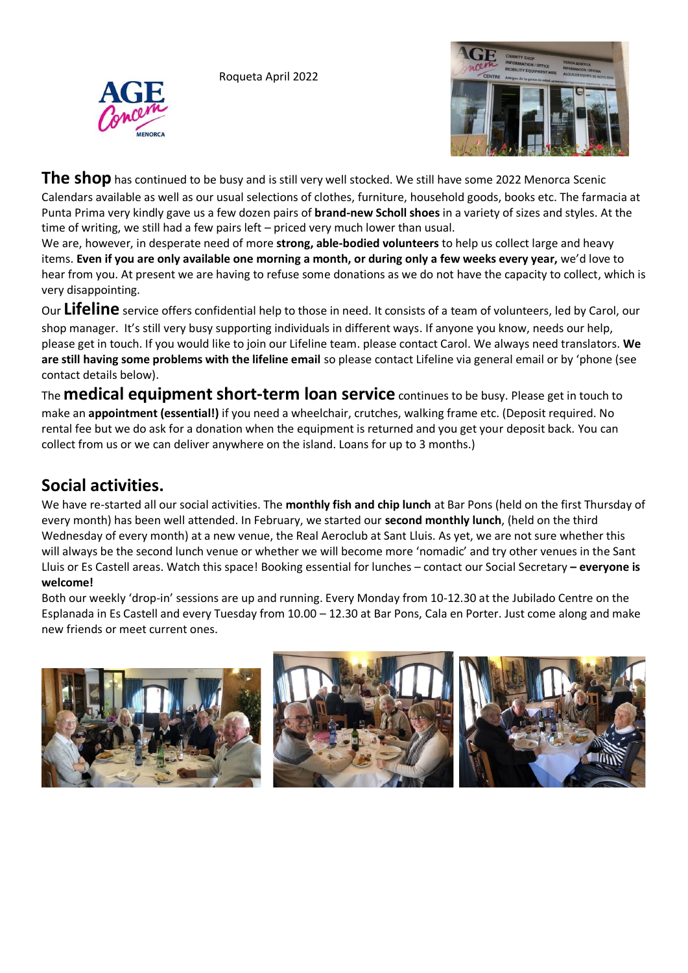Roqueta April 2022





**The shop** has continued to be busy and is still very well stocked. We still have some 2022 Menorca Scenic Calendars available as well as our usual selections of clothes, furniture, household goods, books etc. The farmacia at Punta Prima very kindly gave us a few dozen pairs of **brand-new Scholl shoes** in a variety of sizes and styles. At the time of writing, we still had a few pairs left – priced very much lower than usual.

We are, however, in desperate need of more **strong, able-bodied volunteers** to help us collect large and heavy items. **Even if you are only available one morning a month, or during only a few weeks every year,** we'd love to hear from you. At present we are having to refuse some donations as we do not have the capacity to collect, which is very disappointing.

Our **Lifeline** service offers confidential help to those in need. It consists of a team of volunteers, led by Carol, our shop manager. It's still very busy supporting individuals in different ways. If anyone you know, needs our help, please get in touch. If you would like to join our Lifeline team. please contact Carol. We always need translators. **We are still having some problems with the lifeline email** so please contact Lifeline via general email or by 'phone (see contact details below).

The **medical equipment short-term loan service** continues to be busy. Please get in touch to make an **appointment (essential!)** if you need a wheelchair, crutches, walking frame etc. (Deposit required. No rental fee but we do ask for a donation when the equipment is returned and you get your deposit back. You can collect from us or we can deliver anywhere on the island. Loans for up to 3 months.)

## **Social activities.**

We have re-started all our social activities. The **monthly fish and chip lunch** at Bar Pons (held on the first Thursday of every month) has been well attended. In February, we started our **second monthly lunch**, (held on the third Wednesday of every month) at a new venue, the Real Aeroclub at Sant Lluis. As yet, we are not sure whether this will always be the second lunch venue or whether we will become more 'nomadic' and try other venues in the Sant Lluis or Es Castell areas. Watch this space! Booking essential for lunches – contact our Social Secretary **– everyone is welcome!**

Both our weekly 'drop-in' sessions are up and running. Every Monday from 10-12.30 at the Jubilado Centre on the Esplanada in Es Castell and every Tuesday from 10.00 – 12.30 at Bar Pons, Cala en Porter. Just come along and make new friends or meet current ones.